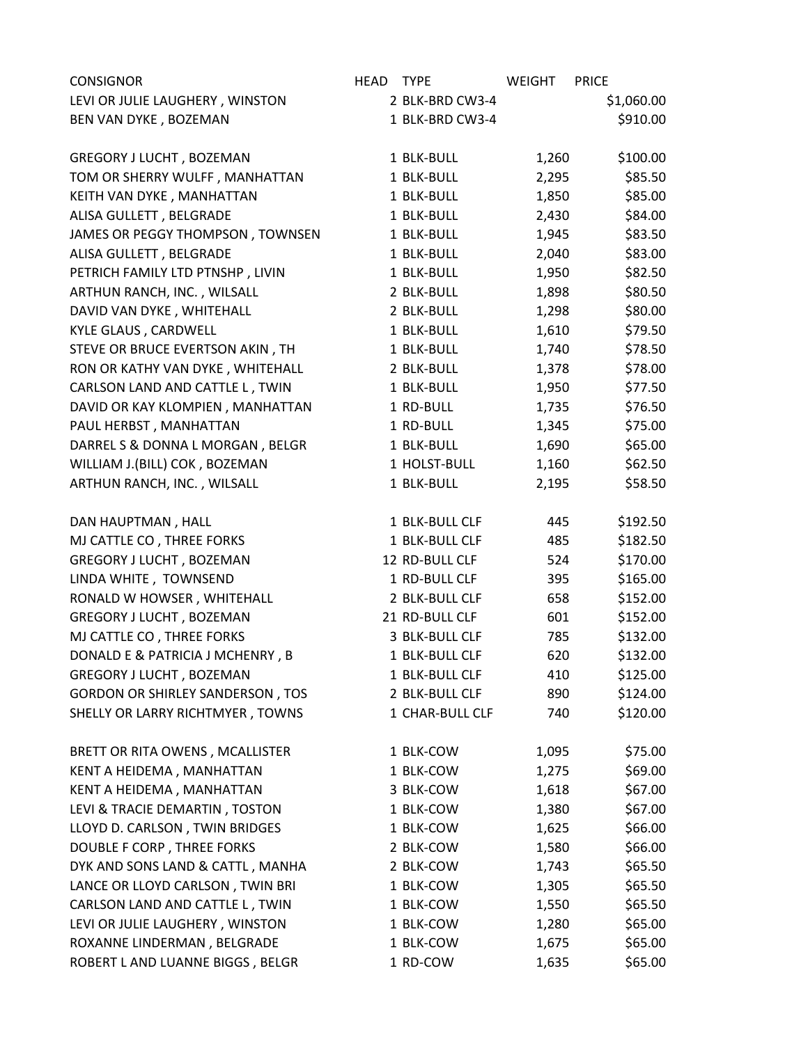| <b>CONSIGNOR</b>                        | HEAD | <b>TYPE</b>     | WEIGHT | <b>PRICE</b> |
|-----------------------------------------|------|-----------------|--------|--------------|
| LEVI OR JULIE LAUGHERY, WINSTON         |      | 2 BLK-BRD CW3-4 |        | \$1,060.00   |
| BEN VAN DYKE, BOZEMAN                   |      | 1 BLK-BRD CW3-4 |        | \$910.00     |
|                                         |      |                 |        |              |
| GREGORY J LUCHT, BOZEMAN                |      | 1 BLK-BULL      | 1,260  | \$100.00     |
| TOM OR SHERRY WULFF, MANHATTAN          |      | 1 BLK-BULL      | 2,295  | \$85.50      |
| KEITH VAN DYKE, MANHATTAN               |      | 1 BLK-BULL      | 1,850  | \$85.00      |
| ALISA GULLETT, BELGRADE                 |      | 1 BLK-BULL      | 2,430  | \$84.00      |
| JAMES OR PEGGY THOMPSON, TOWNSEN        |      | 1 BLK-BULL      | 1,945  | \$83.50      |
| ALISA GULLETT, BELGRADE                 |      | 1 BLK-BULL      | 2,040  | \$83.00      |
| PETRICH FAMILY LTD PTNSHP, LIVIN        |      | 1 BLK-BULL      | 1,950  | \$82.50      |
| ARTHUN RANCH, INC., WILSALL             |      | 2 BLK-BULL      | 1,898  | \$80.50      |
| DAVID VAN DYKE, WHITEHALL               |      | 2 BLK-BULL      | 1,298  | \$80.00      |
| KYLE GLAUS, CARDWELL                    |      | 1 BLK-BULL      | 1,610  | \$79.50      |
| STEVE OR BRUCE EVERTSON AKIN, TH        |      | 1 BLK-BULL      | 1,740  | \$78.50      |
| RON OR KATHY VAN DYKE, WHITEHALL        |      | 2 BLK-BULL      | 1,378  | \$78.00      |
| CARLSON LAND AND CATTLE L, TWIN         |      | 1 BLK-BULL      | 1,950  | \$77.50      |
| DAVID OR KAY KLOMPIEN, MANHATTAN        |      | 1 RD-BULL       | 1,735  | \$76.50      |
| PAUL HERBST, MANHATTAN                  |      | 1 RD-BULL       | 1,345  | \$75.00      |
| DARREL S & DONNA L MORGAN, BELGR        |      | 1 BLK-BULL      | 1,690  | \$65.00      |
| WILLIAM J.(BILL) COK, BOZEMAN           |      | 1 HOLST-BULL    | 1,160  | \$62.50      |
| ARTHUN RANCH, INC., WILSALL             |      | 1 BLK-BULL      | 2,195  | \$58.50      |
|                                         |      |                 |        |              |
| DAN HAUPTMAN, HALL                      |      | 1 BLK-BULL CLF  | 445    | \$192.50     |
| MJ CATTLE CO, THREE FORKS               |      | 1 BLK-BULL CLF  | 485    | \$182.50     |
| GREGORY J LUCHT, BOZEMAN                |      | 12 RD-BULL CLF  | 524    | \$170.00     |
| LINDA WHITE, TOWNSEND                   |      | 1 RD-BULL CLF   | 395    | \$165.00     |
| RONALD W HOWSER, WHITEHALL              |      | 2 BLK-BULL CLF  | 658    | \$152.00     |
| <b>GREGORY J LUCHT, BOZEMAN</b>         |      | 21 RD-BULL CLF  | 601    | \$152.00     |
| MJ CATTLE CO, THREE FORKS               |      | 3 BLK-BULL CLF  | 785    | \$132.00     |
| DONALD E & PATRICIA J MCHENRY, B        |      | 1 BLK-BULL CLF  | 620    | \$132.00     |
| GREGORY J LUCHT, BOZEMAN                |      | 1 BLK-BULL CLF  | 410    | \$125.00     |
| <b>GORDON OR SHIRLEY SANDERSON, TOS</b> |      | 2 BLK-BULL CLF  | 890    | \$124.00     |
| SHELLY OR LARRY RICHTMYER, TOWNS        |      | 1 CHAR-BULL CLF | 740    | \$120.00     |
| BRETT OR RITA OWENS, MCALLISTER         |      | 1 BLK-COW       | 1,095  | \$75.00      |
| KENT A HEIDEMA, MANHATTAN               |      | 1 BLK-COW       | 1,275  | \$69.00      |
| KENT A HEIDEMA, MANHATTAN               |      | 3 BLK-COW       | 1,618  | \$67.00      |
| LEVI & TRACIE DEMARTIN, TOSTON          |      | 1 BLK-COW       | 1,380  | \$67.00      |
| LLOYD D. CARLSON, TWIN BRIDGES          |      | 1 BLK-COW       | 1,625  | \$66.00      |
| DOUBLE F CORP, THREE FORKS              |      | 2 BLK-COW       | 1,580  | \$66.00      |
| DYK AND SONS LAND & CATTL, MANHA        |      | 2 BLK-COW       | 1,743  | \$65.50      |
| LANCE OR LLOYD CARLSON, TWIN BRI        |      | 1 BLK-COW       | 1,305  | \$65.50      |
| CARLSON LAND AND CATTLE L, TWIN         |      | 1 BLK-COW       | 1,550  | \$65.50      |
| LEVI OR JULIE LAUGHERY, WINSTON         |      | 1 BLK-COW       | 1,280  | \$65.00      |
| ROXANNE LINDERMAN, BELGRADE             |      | 1 BLK-COW       | 1,675  | \$65.00      |
| ROBERT L AND LUANNE BIGGS, BELGR        |      | 1 RD-COW        | 1,635  | \$65.00      |
|                                         |      |                 |        |              |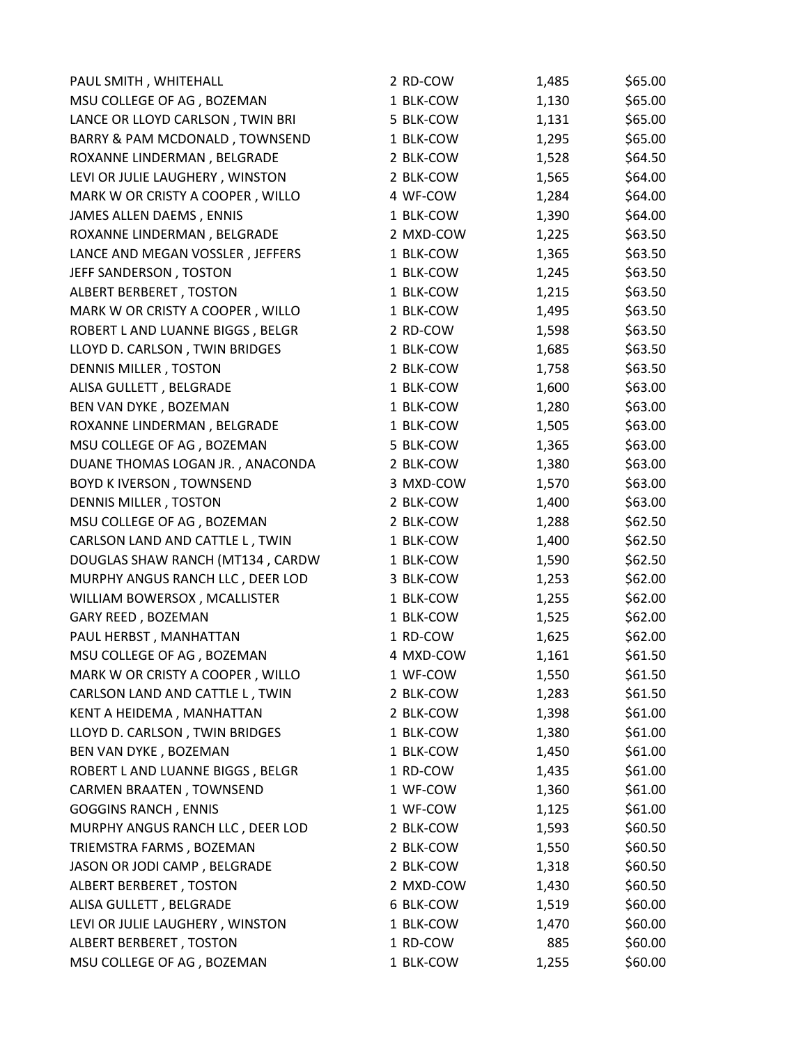| PAUL SMITH, WHITEHALL            | 2 RD-COW  | 1,485 | \$65.00 |
|----------------------------------|-----------|-------|---------|
| MSU COLLEGE OF AG, BOZEMAN       | 1 BLK-COW | 1,130 | \$65.00 |
| LANCE OR LLOYD CARLSON, TWIN BRI | 5 BLK-COW | 1,131 | \$65.00 |
| BARRY & PAM MCDONALD, TOWNSEND   | 1 BLK-COW | 1,295 | \$65.00 |
| ROXANNE LINDERMAN, BELGRADE      | 2 BLK-COW | 1,528 | \$64.50 |
| LEVI OR JULIE LAUGHERY, WINSTON  | 2 BLK-COW | 1,565 | \$64.00 |
| MARK W OR CRISTY A COOPER, WILLO | 4 WF-COW  | 1,284 | \$64.00 |
| JAMES ALLEN DAEMS, ENNIS         | 1 BLK-COW | 1,390 | \$64.00 |
| ROXANNE LINDERMAN, BELGRADE      | 2 MXD-COW | 1,225 | \$63.50 |
| LANCE AND MEGAN VOSSLER, JEFFERS | 1 BLK-COW | 1,365 | \$63.50 |
| JEFF SANDERSON, TOSTON           | 1 BLK-COW | 1,245 | \$63.50 |
| ALBERT BERBERET, TOSTON          | 1 BLK-COW | 1,215 | \$63.50 |
| MARK W OR CRISTY A COOPER, WILLO | 1 BLK-COW | 1,495 | \$63.50 |
| ROBERT L AND LUANNE BIGGS, BELGR | 2 RD-COW  | 1,598 | \$63.50 |
| LLOYD D. CARLSON, TWIN BRIDGES   | 1 BLK-COW | 1,685 | \$63.50 |
| DENNIS MILLER, TOSTON            | 2 BLK-COW | 1,758 | \$63.50 |
| ALISA GULLETT, BELGRADE          | 1 BLK-COW | 1,600 | \$63.00 |
| BEN VAN DYKE, BOZEMAN            | 1 BLK-COW | 1,280 | \$63.00 |
| ROXANNE LINDERMAN, BELGRADE      | 1 BLK-COW | 1,505 | \$63.00 |
| MSU COLLEGE OF AG, BOZEMAN       | 5 BLK-COW | 1,365 | \$63.00 |
| DUANE THOMAS LOGAN JR., ANACONDA | 2 BLK-COW | 1,380 | \$63.00 |
| <b>BOYD KIVERSON, TOWNSEND</b>   | 3 MXD-COW | 1,570 | \$63.00 |
| DENNIS MILLER, TOSTON            | 2 BLK-COW | 1,400 | \$63.00 |
| MSU COLLEGE OF AG, BOZEMAN       | 2 BLK-COW | 1,288 | \$62.50 |
| CARLSON LAND AND CATTLE L, TWIN  | 1 BLK-COW | 1,400 | \$62.50 |
| DOUGLAS SHAW RANCH (MT134, CARDW | 1 BLK-COW | 1,590 | \$62.50 |
| MURPHY ANGUS RANCH LLC, DEER LOD | 3 BLK-COW | 1,253 | \$62.00 |
| WILLIAM BOWERSOX, MCALLISTER     | 1 BLK-COW | 1,255 | \$62.00 |
| GARY REED, BOZEMAN               | 1 BLK-COW | 1,525 | \$62.00 |
| PAUL HERBST, MANHATTAN           | 1 RD-COW  | 1,625 | \$62.00 |
| MSU COLLEGE OF AG, BOZEMAN       | 4 MXD-COW | 1,161 | \$61.50 |
| MARK W OR CRISTY A COOPER, WILLO | 1 WF-COW  | 1,550 | \$61.50 |
| CARLSON LAND AND CATTLE L, TWIN  | 2 BLK-COW | 1,283 | \$61.50 |
| KENT A HEIDEMA, MANHATTAN        | 2 BLK-COW | 1,398 | \$61.00 |
| LLOYD D. CARLSON, TWIN BRIDGES   | 1 BLK-COW | 1,380 | \$61.00 |
| BEN VAN DYKE, BOZEMAN            | 1 BLK-COW | 1,450 | \$61.00 |
| ROBERT L AND LUANNE BIGGS, BELGR | 1 RD-COW  | 1,435 | \$61.00 |
| CARMEN BRAATEN, TOWNSEND         | 1 WF-COW  | 1,360 | \$61.00 |
| <b>GOGGINS RANCH, ENNIS</b>      | 1 WF-COW  | 1,125 | \$61.00 |
| MURPHY ANGUS RANCH LLC, DEER LOD | 2 BLK-COW | 1,593 | \$60.50 |
| TRIEMSTRA FARMS, BOZEMAN         | 2 BLK-COW | 1,550 | \$60.50 |
| JASON OR JODI CAMP, BELGRADE     | 2 BLK-COW | 1,318 | \$60.50 |
| ALBERT BERBERET, TOSTON          | 2 MXD-COW | 1,430 | \$60.50 |
| ALISA GULLETT, BELGRADE          | 6 BLK-COW | 1,519 | \$60.00 |
| LEVI OR JULIE LAUGHERY, WINSTON  | 1 BLK-COW | 1,470 | \$60.00 |
| ALBERT BERBERET, TOSTON          | 1 RD-COW  | 885   | \$60.00 |
| MSU COLLEGE OF AG, BOZEMAN       | 1 BLK-COW | 1,255 | \$60.00 |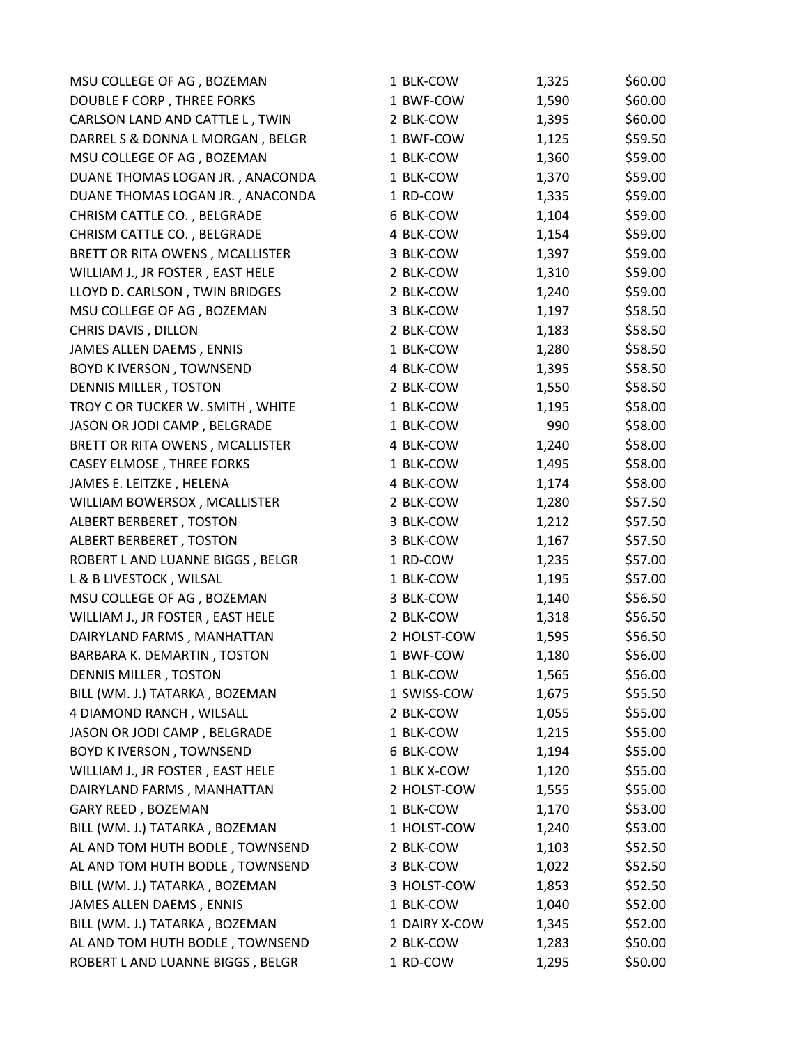| MSU COLLEGE OF AG, BOZEMAN       | 1 BLK-COW     | 1,325 | \$60.00 |
|----------------------------------|---------------|-------|---------|
| DOUBLE F CORP, THREE FORKS       | 1 BWF-COW     | 1,590 | \$60.00 |
| CARLSON LAND AND CATTLE L, TWIN  | 2 BLK-COW     | 1,395 | \$60.00 |
| DARREL S & DONNA L MORGAN, BELGR | 1 BWF-COW     | 1,125 | \$59.50 |
| MSU COLLEGE OF AG, BOZEMAN       | 1 BLK-COW     | 1,360 | \$59.00 |
| DUANE THOMAS LOGAN JR., ANACONDA | 1 BLK-COW     | 1,370 | \$59.00 |
| DUANE THOMAS LOGAN JR., ANACONDA | 1 RD-COW      | 1,335 | \$59.00 |
| CHRISM CATTLE CO., BELGRADE      | 6 BLK-COW     | 1,104 | \$59.00 |
| CHRISM CATTLE CO., BELGRADE      | 4 BLK-COW     | 1,154 | \$59.00 |
| BRETT OR RITA OWENS, MCALLISTER  | 3 BLK-COW     | 1,397 | \$59.00 |
| WILLIAM J., JR FOSTER, EAST HELE | 2 BLK-COW     | 1,310 | \$59.00 |
| LLOYD D. CARLSON, TWIN BRIDGES   | 2 BLK-COW     | 1,240 | \$59.00 |
| MSU COLLEGE OF AG, BOZEMAN       | 3 BLK-COW     | 1,197 | \$58.50 |
| CHRIS DAVIS, DILLON              | 2 BLK-COW     | 1,183 | \$58.50 |
| JAMES ALLEN DAEMS, ENNIS         | 1 BLK-COW     | 1,280 | \$58.50 |
| <b>BOYD K IVERSON, TOWNSEND</b>  | 4 BLK-COW     | 1,395 | \$58.50 |
| DENNIS MILLER, TOSTON            | 2 BLK-COW     | 1,550 | \$58.50 |
| TROY C OR TUCKER W. SMITH, WHITE | 1 BLK-COW     | 1,195 | \$58.00 |
| JASON OR JODI CAMP, BELGRADE     | 1 BLK-COW     | 990   | \$58.00 |
| BRETT OR RITA OWENS, MCALLISTER  | 4 BLK-COW     | 1,240 | \$58.00 |
| <b>CASEY ELMOSE, THREE FORKS</b> | 1 BLK-COW     | 1,495 | \$58.00 |
| JAMES E. LEITZKE, HELENA         | 4 BLK-COW     | 1,174 | \$58.00 |
| WILLIAM BOWERSOX, MCALLISTER     | 2 BLK-COW     | 1,280 | \$57.50 |
| ALBERT BERBERET, TOSTON          | 3 BLK-COW     | 1,212 | \$57.50 |
| ALBERT BERBERET, TOSTON          | 3 BLK-COW     | 1,167 | \$57.50 |
| ROBERT L AND LUANNE BIGGS, BELGR | 1 RD-COW      | 1,235 | \$57.00 |
| L & B LIVESTOCK, WILSAL          | 1 BLK-COW     | 1,195 | \$57.00 |
| MSU COLLEGE OF AG, BOZEMAN       | 3 BLK-COW     | 1,140 | \$56.50 |
| WILLIAM J., JR FOSTER, EAST HELE | 2 BLK-COW     | 1,318 | \$56.50 |
| DAIRYLAND FARMS, MANHATTAN       | 2 HOLST-COW   | 1,595 | \$56.50 |
| BARBARA K. DEMARTIN, TOSTON      | 1 BWF-COW     | 1,180 | \$56.00 |
| DENNIS MILLER, TOSTON            | 1 BLK-COW     | 1,565 | \$56.00 |
| BILL (WM. J.) TATARKA, BOZEMAN   | 1 SWISS-COW   | 1,675 | \$55.50 |
| 4 DIAMOND RANCH, WILSALL         | 2 BLK-COW     | 1,055 | \$55.00 |
| JASON OR JODI CAMP, BELGRADE     | 1 BLK-COW     | 1,215 | \$55.00 |
| <b>BOYD KIVERSON, TOWNSEND</b>   | 6 BLK-COW     | 1,194 | \$55.00 |
| WILLIAM J., JR FOSTER, EAST HELE | 1 BLK X-COW   | 1,120 | \$55.00 |
| DAIRYLAND FARMS, MANHATTAN       | 2 HOLST-COW   | 1,555 | \$55.00 |
| GARY REED, BOZEMAN               | 1 BLK-COW     | 1,170 | \$53.00 |
| BILL (WM. J.) TATARKA, BOZEMAN   | 1 HOLST-COW   | 1,240 | \$53.00 |
| AL AND TOM HUTH BODLE, TOWNSEND  | 2 BLK-COW     | 1,103 | \$52.50 |
| AL AND TOM HUTH BODLE, TOWNSEND  | 3 BLK-COW     | 1,022 | \$52.50 |
| BILL (WM. J.) TATARKA, BOZEMAN   | 3 HOLST-COW   | 1,853 | \$52.50 |
| JAMES ALLEN DAEMS, ENNIS         | 1 BLK-COW     | 1,040 | \$52.00 |
| BILL (WM. J.) TATARKA, BOZEMAN   | 1 DAIRY X-COW | 1,345 | \$52.00 |
| AL AND TOM HUTH BODLE, TOWNSEND  | 2 BLK-COW     | 1,283 | \$50.00 |
| ROBERT L AND LUANNE BIGGS, BELGR | 1 RD-COW      | 1,295 | \$50.00 |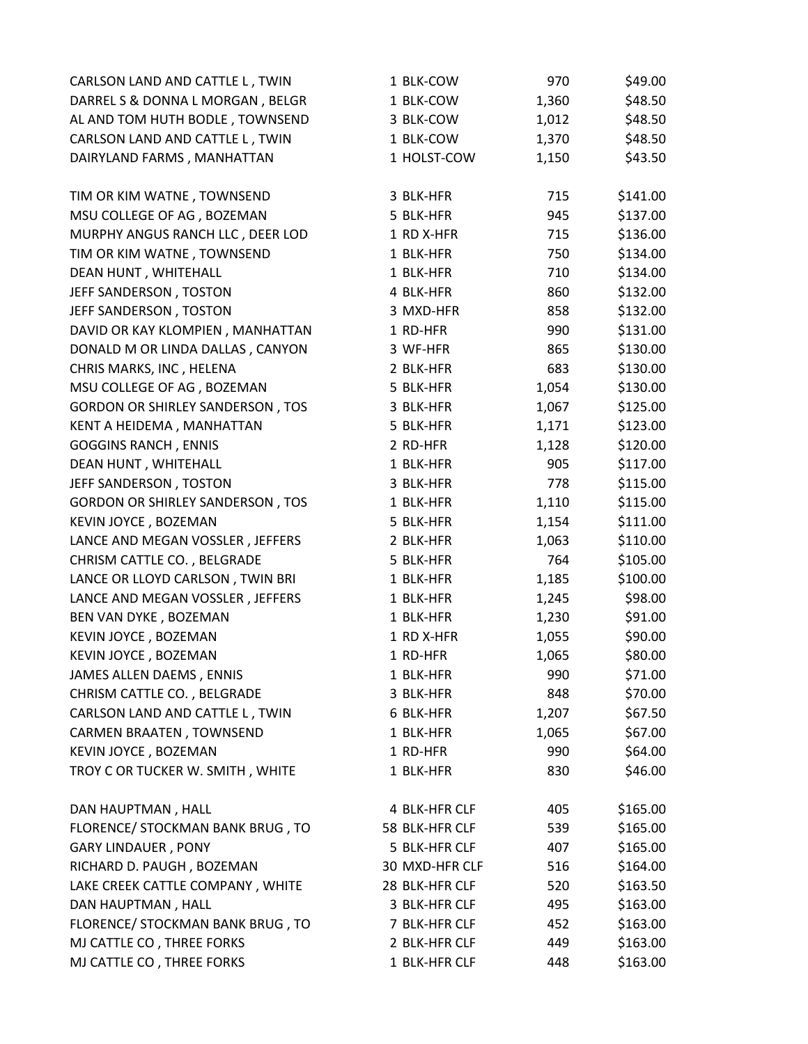| CARLSON LAND AND CATTLE L, TWIN         | 1 BLK-COW      | 970   | \$49.00  |
|-----------------------------------------|----------------|-------|----------|
| DARREL S & DONNA L MORGAN, BELGR        | 1 BLK-COW      | 1,360 | \$48.50  |
| AL AND TOM HUTH BODLE, TOWNSEND         | 3 BLK-COW      | 1,012 | \$48.50  |
| CARLSON LAND AND CATTLE L, TWIN         | 1 BLK-COW      | 1,370 | \$48.50  |
| DAIRYLAND FARMS, MANHATTAN              | 1 HOLST-COW    | 1,150 | \$43.50  |
|                                         |                |       |          |
| TIM OR KIM WATNE, TOWNSEND              | 3 BLK-HFR      | 715   | \$141.00 |
| MSU COLLEGE OF AG, BOZEMAN              | 5 BLK-HFR      | 945   | \$137.00 |
| MURPHY ANGUS RANCH LLC, DEER LOD        | 1 RD X-HFR     | 715   | \$136.00 |
| TIM OR KIM WATNE, TOWNSEND              | 1 BLK-HFR      | 750   | \$134.00 |
| DEAN HUNT, WHITEHALL                    | 1 BLK-HFR      | 710   | \$134.00 |
| JEFF SANDERSON, TOSTON                  | 4 BLK-HFR      | 860   | \$132.00 |
| JEFF SANDERSON, TOSTON                  | 3 MXD-HFR      | 858   | \$132.00 |
| DAVID OR KAY KLOMPIEN, MANHATTAN        | 1 RD-HFR       | 990   | \$131.00 |
| DONALD M OR LINDA DALLAS, CANYON        | 3 WF-HFR       | 865   | \$130.00 |
| CHRIS MARKS, INC, HELENA                | 2 BLK-HFR      | 683   | \$130.00 |
| MSU COLLEGE OF AG, BOZEMAN              | 5 BLK-HFR      | 1,054 | \$130.00 |
| <b>GORDON OR SHIRLEY SANDERSON, TOS</b> | 3 BLK-HFR      | 1,067 | \$125.00 |
| KENT A HEIDEMA, MANHATTAN               | 5 BLK-HFR      | 1,171 | \$123.00 |
| <b>GOGGINS RANCH, ENNIS</b>             | 2 RD-HFR       | 1,128 | \$120.00 |
| DEAN HUNT, WHITEHALL                    | 1 BLK-HFR      | 905   | \$117.00 |
| JEFF SANDERSON, TOSTON                  | 3 BLK-HFR      | 778   | \$115.00 |
| <b>GORDON OR SHIRLEY SANDERSON, TOS</b> | 1 BLK-HFR      | 1,110 | \$115.00 |
| KEVIN JOYCE, BOZEMAN                    | 5 BLK-HFR      | 1,154 | \$111.00 |
| LANCE AND MEGAN VOSSLER, JEFFERS        | 2 BLK-HFR      | 1,063 | \$110.00 |
| CHRISM CATTLE CO., BELGRADE             | 5 BLK-HFR      | 764   | \$105.00 |
| LANCE OR LLOYD CARLSON, TWIN BRI        | 1 BLK-HFR      | 1,185 | \$100.00 |
| LANCE AND MEGAN VOSSLER, JEFFERS        | 1 BLK-HFR      | 1,245 | \$98.00  |
| BEN VAN DYKE, BOZEMAN                   | 1 BLK-HFR      | 1,230 | \$91.00  |
| KEVIN JOYCE, BOZEMAN                    | 1 RD X-HFR     | 1,055 | \$90.00  |
| KEVIN JOYCE, BOZEMAN                    | 1 RD-HFR       | 1,065 | \$80.00  |
| JAMES ALLEN DAEMS, ENNIS                | 1 BLK-HFR      | 990   | \$71.00  |
| CHRISM CATTLE CO., BELGRADE             | 3 BLK-HFR      | 848   | \$70.00  |
| CARLSON LAND AND CATTLE L, TWIN         | 6 BLK-HFR      | 1,207 | \$67.50  |
| <b>CARMEN BRAATEN, TOWNSEND</b>         | 1 BLK-HFR      | 1,065 | \$67.00  |
| KEVIN JOYCE, BOZEMAN                    | 1 RD-HFR       | 990   | \$64.00  |
| TROY C OR TUCKER W. SMITH, WHITE        | 1 BLK-HFR      | 830   | \$46.00  |
| DAN HAUPTMAN, HALL                      | 4 BLK-HFR CLF  | 405   | \$165.00 |
| FLORENCE/ STOCKMAN BANK BRUG, TO        | 58 BLK-HFR CLF | 539   | \$165.00 |
| <b>GARY LINDAUER, PONY</b>              | 5 BLK-HFR CLF  | 407   | \$165.00 |
| RICHARD D. PAUGH, BOZEMAN               | 30 MXD-HFR CLF | 516   | \$164.00 |
| LAKE CREEK CATTLE COMPANY, WHITE        | 28 BLK-HFR CLF | 520   | \$163.50 |
| DAN HAUPTMAN, HALL                      | 3 BLK-HFR CLF  | 495   | \$163.00 |
| FLORENCE/ STOCKMAN BANK BRUG, TO        | 7 BLK-HFR CLF  | 452   | \$163.00 |
| MJ CATTLE CO, THREE FORKS               | 2 BLK-HFR CLF  | 449   | \$163.00 |
| MJ CATTLE CO, THREE FORKS               | 1 BLK-HFR CLF  | 448   | \$163.00 |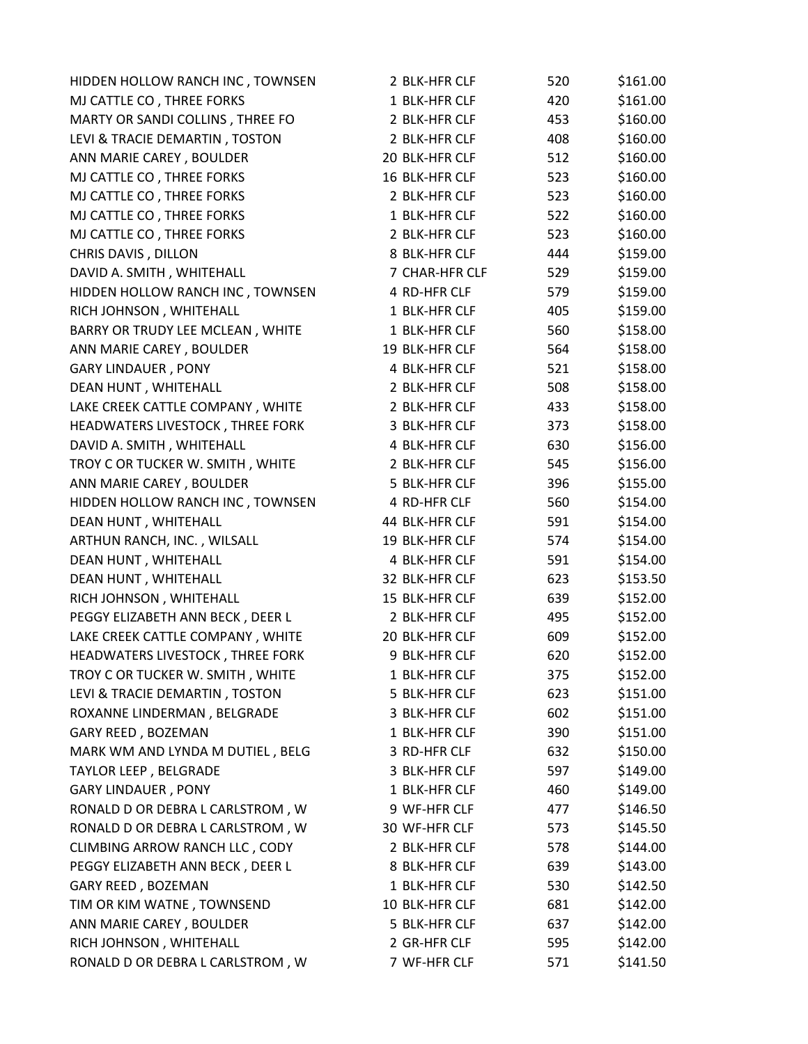| HIDDEN HOLLOW RANCH INC, TOWNSEN | 2 BLK-HFR CLF  | 520 | \$161.00 |
|----------------------------------|----------------|-----|----------|
| MJ CATTLE CO, THREE FORKS        | 1 BLK-HFR CLF  | 420 | \$161.00 |
| MARTY OR SANDI COLLINS, THREE FO | 2 BLK-HFR CLF  | 453 | \$160.00 |
| LEVI & TRACIE DEMARTIN, TOSTON   | 2 BLK-HFR CLF  | 408 | \$160.00 |
| ANN MARIE CAREY, BOULDER         | 20 BLK-HFR CLF | 512 | \$160.00 |
| MJ CATTLE CO, THREE FORKS        | 16 BLK-HFR CLF | 523 | \$160.00 |
| MJ CATTLE CO, THREE FORKS        | 2 BLK-HFR CLF  | 523 | \$160.00 |
| MJ CATTLE CO, THREE FORKS        | 1 BLK-HFR CLF  | 522 | \$160.00 |
| MJ CATTLE CO, THREE FORKS        | 2 BLK-HFR CLF  | 523 | \$160.00 |
| CHRIS DAVIS, DILLON              | 8 BLK-HFR CLF  | 444 | \$159.00 |
| DAVID A. SMITH, WHITEHALL        | 7 CHAR-HFR CLF | 529 | \$159.00 |
| HIDDEN HOLLOW RANCH INC, TOWNSEN | 4 RD-HFR CLF   | 579 | \$159.00 |
| RICH JOHNSON, WHITEHALL          | 1 BLK-HFR CLF  | 405 | \$159.00 |
| BARRY OR TRUDY LEE MCLEAN, WHITE | 1 BLK-HFR CLF  | 560 | \$158.00 |
| ANN MARIE CAREY, BOULDER         | 19 BLK-HFR CLF | 564 | \$158.00 |
| <b>GARY LINDAUER, PONY</b>       | 4 BLK-HFR CLF  | 521 | \$158.00 |
| DEAN HUNT, WHITEHALL             | 2 BLK-HFR CLF  | 508 | \$158.00 |
| LAKE CREEK CATTLE COMPANY, WHITE | 2 BLK-HFR CLF  | 433 | \$158.00 |
| HEADWATERS LIVESTOCK, THREE FORK | 3 BLK-HFR CLF  | 373 | \$158.00 |
| DAVID A. SMITH, WHITEHALL        | 4 BLK-HFR CLF  | 630 | \$156.00 |
| TROY C OR TUCKER W. SMITH, WHITE | 2 BLK-HFR CLF  | 545 | \$156.00 |
| ANN MARIE CAREY, BOULDER         | 5 BLK-HFR CLF  | 396 | \$155.00 |
| HIDDEN HOLLOW RANCH INC, TOWNSEN | 4 RD-HFR CLF   | 560 | \$154.00 |
| DEAN HUNT, WHITEHALL             | 44 BLK-HFR CLF | 591 | \$154.00 |
| ARTHUN RANCH, INC., WILSALL      | 19 BLK-HFR CLF | 574 | \$154.00 |
| DEAN HUNT, WHITEHALL             | 4 BLK-HFR CLF  | 591 | \$154.00 |
| DEAN HUNT, WHITEHALL             | 32 BLK-HFR CLF | 623 | \$153.50 |
| RICH JOHNSON, WHITEHALL          | 15 BLK-HFR CLF | 639 | \$152.00 |
| PEGGY ELIZABETH ANN BECK, DEER L | 2 BLK-HFR CLF  | 495 | \$152.00 |
| LAKE CREEK CATTLE COMPANY, WHITE | 20 BLK-HFR CLF | 609 | \$152.00 |
| HEADWATERS LIVESTOCK, THREE FORK | 9 BLK-HFR CLF  | 620 | \$152.00 |
| TROY C OR TUCKER W. SMITH, WHITE | 1 BLK-HFR CLF  | 375 | \$152.00 |
| LEVI & TRACIE DEMARTIN, TOSTON   | 5 BLK-HFR CLF  | 623 | \$151.00 |
| ROXANNE LINDERMAN, BELGRADE      | 3 BLK-HFR CLF  | 602 | \$151.00 |
| GARY REED, BOZEMAN               | 1 BLK-HFR CLF  | 390 | \$151.00 |
| MARK WM AND LYNDA M DUTIEL, BELG | 3 RD-HFR CLF   | 632 | \$150.00 |
| <b>TAYLOR LEEP, BELGRADE</b>     | 3 BLK-HFR CLF  | 597 | \$149.00 |
| <b>GARY LINDAUER, PONY</b>       | 1 BLK-HFR CLF  | 460 | \$149.00 |
| RONALD D OR DEBRA L CARLSTROM, W | 9 WF-HFR CLF   | 477 | \$146.50 |
| RONALD D OR DEBRA L CARLSTROM, W | 30 WF-HFR CLF  | 573 | \$145.50 |
| CLIMBING ARROW RANCH LLC, CODY   | 2 BLK-HFR CLF  | 578 | \$144.00 |
| PEGGY ELIZABETH ANN BECK, DEER L | 8 BLK-HFR CLF  | 639 | \$143.00 |
| GARY REED, BOZEMAN               | 1 BLK-HFR CLF  | 530 | \$142.50 |
| TIM OR KIM WATNE, TOWNSEND       | 10 BLK-HFR CLF | 681 | \$142.00 |
| ANN MARIE CAREY, BOULDER         | 5 BLK-HFR CLF  | 637 | \$142.00 |
| RICH JOHNSON, WHITEHALL          | 2 GR-HFR CLF   | 595 | \$142.00 |
| RONALD D OR DEBRA L CARLSTROM, W | 7 WF-HFR CLF   | 571 | \$141.50 |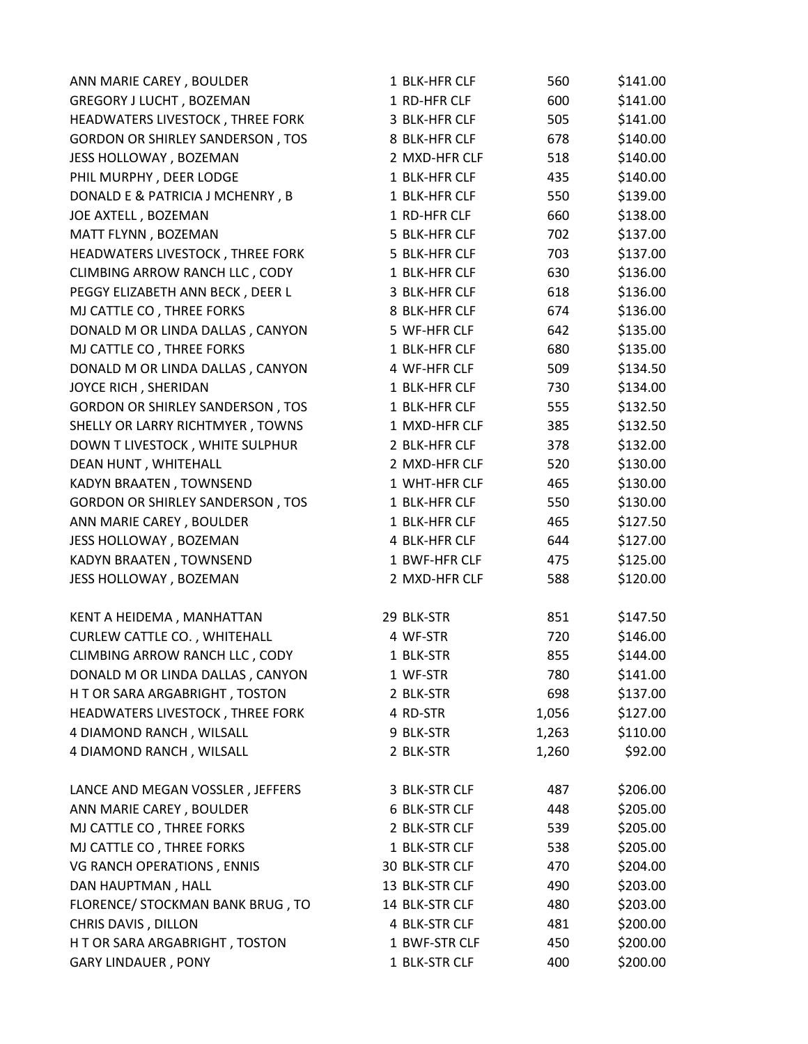| ANN MARIE CAREY, BOULDER                | 1 BLK-HFR CLF  | 560   | \$141.00 |
|-----------------------------------------|----------------|-------|----------|
| GREGORY J LUCHT, BOZEMAN                | 1 RD-HFR CLF   | 600   | \$141.00 |
| HEADWATERS LIVESTOCK, THREE FORK        | 3 BLK-HFR CLF  | 505   | \$141.00 |
| <b>GORDON OR SHIRLEY SANDERSON, TOS</b> | 8 BLK-HFR CLF  | 678   | \$140.00 |
| JESS HOLLOWAY, BOZEMAN                  | 2 MXD-HFR CLF  | 518   | \$140.00 |
| PHIL MURPHY, DEER LODGE                 | 1 BLK-HFR CLF  | 435   | \$140.00 |
| DONALD E & PATRICIA J MCHENRY, B        | 1 BLK-HFR CLF  | 550   | \$139.00 |
| JOE AXTELL, BOZEMAN                     | 1 RD-HFR CLF   | 660   | \$138.00 |
| MATT FLYNN, BOZEMAN                     | 5 BLK-HFR CLF  | 702   | \$137.00 |
| HEADWATERS LIVESTOCK, THREE FORK        | 5 BLK-HFR CLF  | 703   | \$137.00 |
| CLIMBING ARROW RANCH LLC, CODY          | 1 BLK-HFR CLF  | 630   | \$136.00 |
| PEGGY ELIZABETH ANN BECK, DEER L        | 3 BLK-HFR CLF  | 618   | \$136.00 |
| MJ CATTLE CO, THREE FORKS               | 8 BLK-HFR CLF  | 674   | \$136.00 |
| DONALD M OR LINDA DALLAS, CANYON        | 5 WF-HFR CLF   | 642   | \$135.00 |
| MJ CATTLE CO, THREE FORKS               | 1 BLK-HFR CLF  | 680   | \$135.00 |
| DONALD M OR LINDA DALLAS, CANYON        | 4 WF-HFR CLF   | 509   | \$134.50 |
| JOYCE RICH, SHERIDAN                    | 1 BLK-HFR CLF  | 730   | \$134.00 |
| <b>GORDON OR SHIRLEY SANDERSON, TOS</b> | 1 BLK-HFR CLF  | 555   | \$132.50 |
| SHELLY OR LARRY RICHTMYER, TOWNS        | 1 MXD-HFR CLF  | 385   | \$132.50 |
| DOWN T LIVESTOCK, WHITE SULPHUR         | 2 BLK-HFR CLF  | 378   | \$132.00 |
| DEAN HUNT, WHITEHALL                    | 2 MXD-HFR CLF  | 520   | \$130.00 |
| KADYN BRAATEN, TOWNSEND                 | 1 WHT-HFR CLF  | 465   | \$130.00 |
| <b>GORDON OR SHIRLEY SANDERSON, TOS</b> | 1 BLK-HFR CLF  | 550   | \$130.00 |
| ANN MARIE CAREY, BOULDER                | 1 BLK-HFR CLF  | 465   | \$127.50 |
| JESS HOLLOWAY, BOZEMAN                  | 4 BLK-HFR CLF  | 644   | \$127.00 |
| KADYN BRAATEN, TOWNSEND                 | 1 BWF-HFR CLF  | 475   | \$125.00 |
| JESS HOLLOWAY, BOZEMAN                  | 2 MXD-HFR CLF  | 588   | \$120.00 |
| KENT A HEIDEMA, MANHATTAN               | 29 BLK-STR     | 851   | \$147.50 |
| <b>CURLEW CATTLE CO., WHITEHALL</b>     | 4 WF-STR       | 720   | \$146.00 |
| CLIMBING ARROW RANCH LLC, CODY          | 1 BLK-STR      | 855   | \$144.00 |
| DONALD M OR LINDA DALLAS, CANYON        | 1 WF-STR       | 780   | \$141.00 |
| H T OR SARA ARGABRIGHT, TOSTON          | 2 BLK-STR      | 698   | \$137.00 |
| HEADWATERS LIVESTOCK, THREE FORK        | 4 RD-STR       | 1,056 | \$127.00 |
| 4 DIAMOND RANCH, WILSALL                | 9 BLK-STR      | 1,263 | \$110.00 |
| 4 DIAMOND RANCH, WILSALL                | 2 BLK-STR      | 1,260 | \$92.00  |
| LANCE AND MEGAN VOSSLER, JEFFERS        | 3 BLK-STR CLF  | 487   | \$206.00 |
| ANN MARIE CAREY, BOULDER                | 6 BLK-STR CLF  | 448   | \$205.00 |
| MJ CATTLE CO, THREE FORKS               | 2 BLK-STR CLF  | 539   | \$205.00 |
| MJ CATTLE CO, THREE FORKS               | 1 BLK-STR CLF  | 538   | \$205.00 |
| VG RANCH OPERATIONS, ENNIS              | 30 BLK-STR CLF | 470   | \$204.00 |
| DAN HAUPTMAN, HALL                      | 13 BLK-STR CLF | 490   | \$203.00 |
| FLORENCE/ STOCKMAN BANK BRUG, TO        | 14 BLK-STR CLF | 480   | \$203.00 |
| CHRIS DAVIS, DILLON                     | 4 BLK-STR CLF  | 481   | \$200.00 |
| H T OR SARA ARGABRIGHT, TOSTON          | 1 BWF-STR CLF  | 450   | \$200.00 |
| <b>GARY LINDAUER, PONY</b>              | 1 BLK-STR CLF  | 400   | \$200.00 |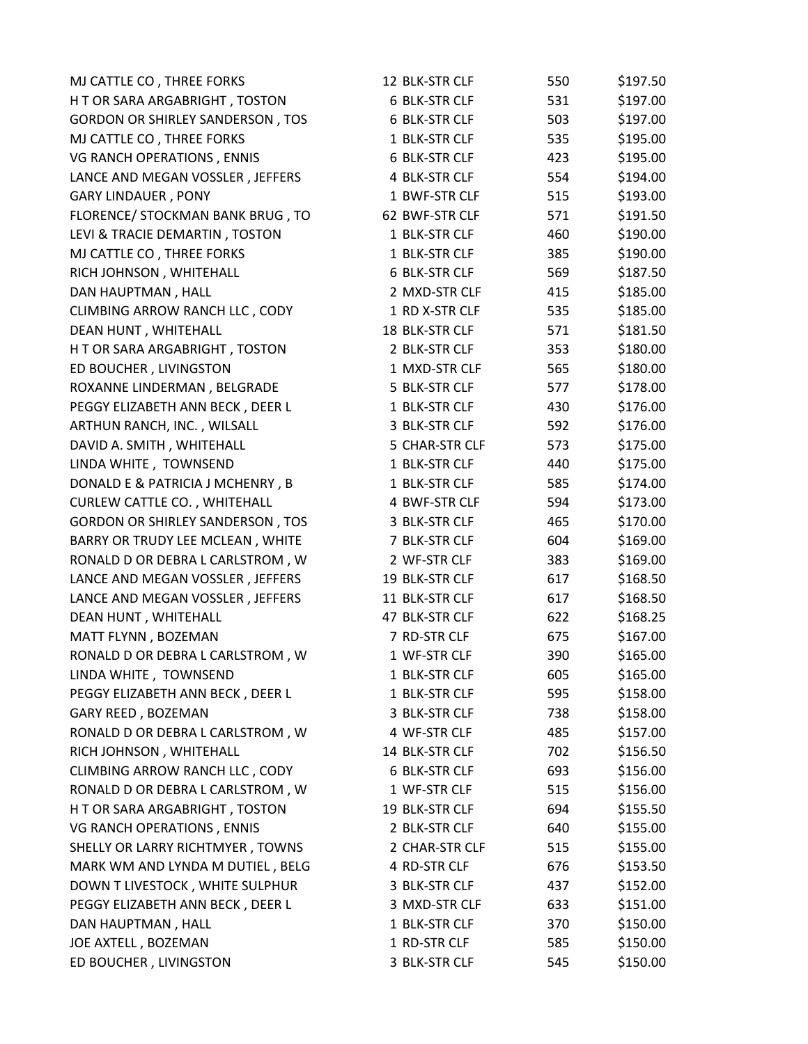| MJ CATTLE CO, THREE FORKS               | 12 BLK-STR CLF | 550 | \$197.50 |
|-----------------------------------------|----------------|-----|----------|
| H T OR SARA ARGABRIGHT, TOSTON          | 6 BLK-STR CLF  | 531 | \$197.00 |
| <b>GORDON OR SHIRLEY SANDERSON, TOS</b> | 6 BLK-STR CLF  | 503 | \$197.00 |
| MJ CATTLE CO, THREE FORKS               | 1 BLK-STR CLF  | 535 | \$195.00 |
| VG RANCH OPERATIONS, ENNIS              | 6 BLK-STR CLF  | 423 | \$195.00 |
| LANCE AND MEGAN VOSSLER, JEFFERS        | 4 BLK-STR CLF  | 554 | \$194.00 |
| <b>GARY LINDAUER, PONY</b>              | 1 BWF-STR CLF  | 515 | \$193.00 |
| FLORENCE/ STOCKMAN BANK BRUG, TO        | 62 BWF-STR CLF | 571 | \$191.50 |
| LEVI & TRACIE DEMARTIN, TOSTON          | 1 BLK-STR CLF  | 460 | \$190.00 |
| MJ CATTLE CO, THREE FORKS               | 1 BLK-STR CLF  | 385 | \$190.00 |
| RICH JOHNSON, WHITEHALL                 | 6 BLK-STR CLF  | 569 | \$187.50 |
| DAN HAUPTMAN, HALL                      | 2 MXD-STR CLF  | 415 | \$185.00 |
| CLIMBING ARROW RANCH LLC, CODY          | 1 RD X-STR CLF | 535 | \$185.00 |
| DEAN HUNT, WHITEHALL                    | 18 BLK-STR CLF | 571 | \$181.50 |
| H T OR SARA ARGABRIGHT, TOSTON          | 2 BLK-STR CLF  | 353 | \$180.00 |
| ED BOUCHER, LIVINGSTON                  | 1 MXD-STR CLF  | 565 | \$180.00 |
| ROXANNE LINDERMAN, BELGRADE             | 5 BLK-STR CLF  | 577 | \$178.00 |
| PEGGY ELIZABETH ANN BECK, DEER L        | 1 BLK-STR CLF  | 430 | \$176.00 |
| ARTHUN RANCH, INC., WILSALL             | 3 BLK-STR CLF  | 592 | \$176.00 |
| DAVID A. SMITH, WHITEHALL               | 5 CHAR-STR CLF | 573 | \$175.00 |
| LINDA WHITE, TOWNSEND                   | 1 BLK-STR CLF  | 440 | \$175.00 |
| DONALD E & PATRICIA J MCHENRY, B        | 1 BLK-STR CLF  | 585 | \$174.00 |
| <b>CURLEW CATTLE CO., WHITEHALL</b>     | 4 BWF-STR CLF  | 594 | \$173.00 |
| <b>GORDON OR SHIRLEY SANDERSON, TOS</b> | 3 BLK-STR CLF  | 465 | \$170.00 |
| BARRY OR TRUDY LEE MCLEAN, WHITE        | 7 BLK-STR CLF  | 604 | \$169.00 |
| RONALD D OR DEBRA L CARLSTROM, W        | 2 WF-STR CLF   | 383 | \$169.00 |
| LANCE AND MEGAN VOSSLER, JEFFERS        | 19 BLK-STR CLF | 617 | \$168.50 |
| LANCE AND MEGAN VOSSLER, JEFFERS        | 11 BLK-STR CLF | 617 | \$168.50 |
| DEAN HUNT, WHITEHALL                    | 47 BLK-STR CLF | 622 | \$168.25 |
| MATT FLYNN, BOZEMAN                     | 7 RD-STR CLF   | 675 | \$167.00 |
| RONALD D OR DEBRA L CARLSTROM, W        | 1 WF-STR CLF   | 390 | \$165.00 |
| LINDA WHITE, TOWNSEND                   | 1 BLK-STR CLF  | 605 | \$165.00 |
| PEGGY ELIZABETH ANN BECK, DEER L        | 1 BLK-STR CLF  | 595 | \$158.00 |
| GARY REED, BOZEMAN                      | 3 BLK-STR CLF  | 738 | \$158.00 |
| RONALD D OR DEBRA L CARLSTROM, W        | 4 WF-STR CLF   | 485 | \$157.00 |
| RICH JOHNSON, WHITEHALL                 | 14 BLK-STR CLF | 702 | \$156.50 |
| CLIMBING ARROW RANCH LLC, CODY          | 6 BLK-STR CLF  | 693 | \$156.00 |
| RONALD D OR DEBRA L CARLSTROM, W        | 1 WF-STR CLF   | 515 | \$156.00 |
| H T OR SARA ARGABRIGHT, TOSTON          | 19 BLK-STR CLF | 694 | \$155.50 |
| VG RANCH OPERATIONS, ENNIS              | 2 BLK-STR CLF  | 640 | \$155.00 |
| SHELLY OR LARRY RICHTMYER, TOWNS        | 2 CHAR-STR CLF | 515 | \$155.00 |
| MARK WM AND LYNDA M DUTIEL, BELG        | 4 RD-STR CLF   | 676 | \$153.50 |
| DOWN T LIVESTOCK, WHITE SULPHUR         | 3 BLK-STR CLF  | 437 | \$152.00 |
| PEGGY ELIZABETH ANN BECK, DEER L        | 3 MXD-STR CLF  | 633 | \$151.00 |
| DAN HAUPTMAN, HALL                      | 1 BLK-STR CLF  | 370 | \$150.00 |
| JOE AXTELL, BOZEMAN                     | 1 RD-STR CLF   | 585 | \$150.00 |
| ED BOUCHER, LIVINGSTON                  | 3 BLK-STR CLF  | 545 | \$150.00 |